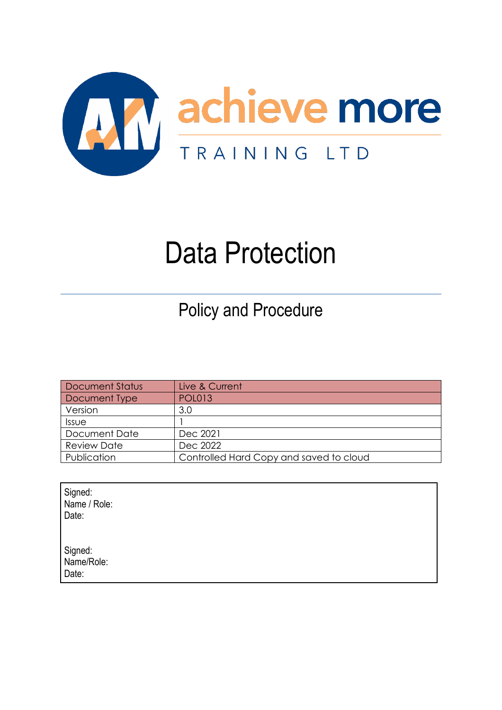

# Data Protection

Policy and Procedure

| <b>Document Status</b> | Live & Current                          |
|------------------------|-----------------------------------------|
| Document Type          | <b>POL013</b>                           |
| Version                | 3.0                                     |
| Issue                  |                                         |
| Document Date          | Dec 2021                                |
| <b>Review Date</b>     | Dec 2022                                |
| Publication            | Controlled Hard Copy and saved to cloud |

| Signed:<br>Name / Role:<br>Date: |  |
|----------------------------------|--|
| Signed:<br>Name/Role:<br>Date:   |  |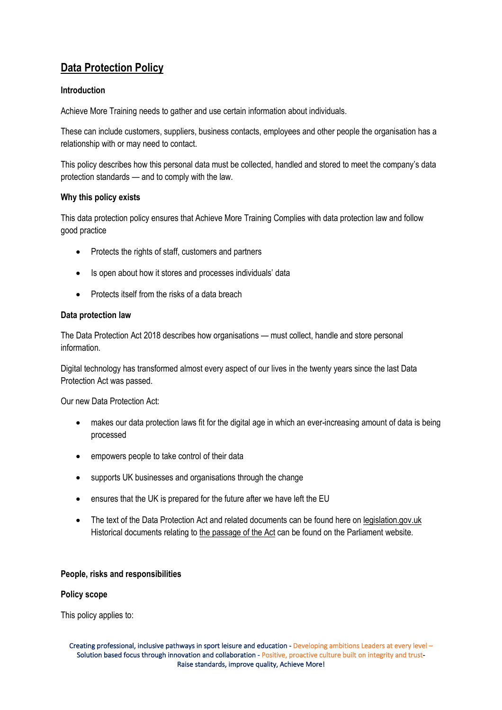# **Data Protection Policy**

# **Introduction**

Achieve More Training needs to gather and use certain information about individuals.

These can include customers, suppliers, business contacts, employees and other people the organisation has a relationship with or may need to contact.

This policy describes how this personal data must be collected, handled and stored to meet the company's data protection standards — and to comply with the law.

# **Why this policy exists**

This data protection policy ensures that Achieve More Training Complies with data protection law and follow good practice

- Protects the rights of staff, customers and partners
- Is open about how it stores and processes individuals' data
- Protects itself from the risks of a data breach

#### **Data protection law**

The Data Protection Act 2018 describes how organisations — must collect, handle and store personal information.

Digital technology has transformed almost every aspect of our lives in the twenty years since the last Data Protection Act was passed.

Our new Data Protection Act:

- makes our data protection laws fit for the digital age in which an ever-increasing amount of data is being processed
- empowers people to take control of their data
- supports UK businesses and organisations through the change
- ensures that the UK is prepared for the future after we have left the EU
- The text of the Data Protection Act and related documents can be found here on [legislation.gov.uk](https://bills.parliament.uk/bills/2158) Historical documents relating to the [passage](https://bills.parliament.uk/bills/2158) of the Act can be found on the Parliament website.

#### **People, risks and responsibilities**

#### **Policy scope**

This policy applies to: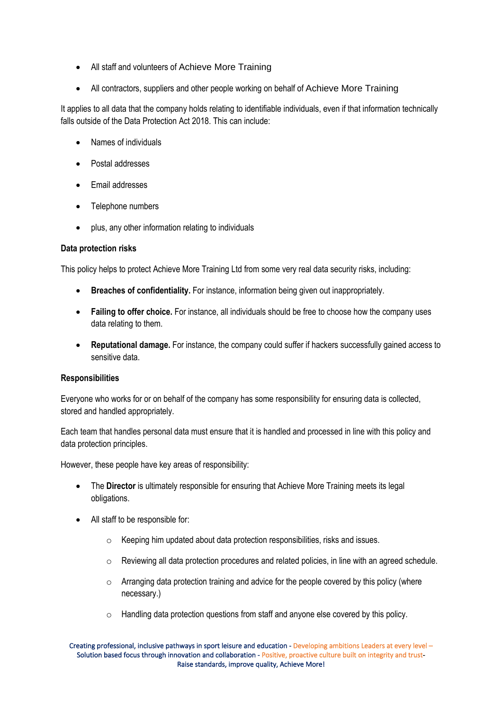- All staff and volunteers of Achieve More Training
- All contractors, suppliers and other people working on behalf of Achieve More Training

It applies to all data that the company holds relating to identifiable individuals, even if that information technically falls outside of the Data Protection Act 2018. This can include:

- Names of individuals
- Postal addresses
- Email addresses
- Telephone numbers
- plus, any other information relating to individuals

# **Data protection risks**

This policy helps to protect Achieve More Training Ltd from some very real data security risks, including:

- **Breaches of confidentiality.** For instance, information being given out inappropriately.
- **Failing to offer choice.** For instance, all individuals should be free to choose how the company uses data relating to them.
- **Reputational damage.** For instance, the company could suffer if hackers successfully gained access to sensitive data.

# **Responsibilities**

Everyone who works for or on behalf of the company has some responsibility for ensuring data is collected, stored and handled appropriately.

Each team that handles personal data must ensure that it is handled and processed in line with this policy and data protection principles.

However, these people have key areas of responsibility:

- The **Director** is ultimately responsible for ensuring that Achieve More Training meets its legal obligations.
- All staff to be responsible for:
	- o Keeping him updated about data protection responsibilities, risks and issues.
	- $\circ$  Reviewing all data protection procedures and related policies, in line with an agreed schedule.
	- $\circ$  Arranging data protection training and advice for the people covered by this policy (where necessary.)
	- o Handling data protection questions from staff and anyone else covered by this policy.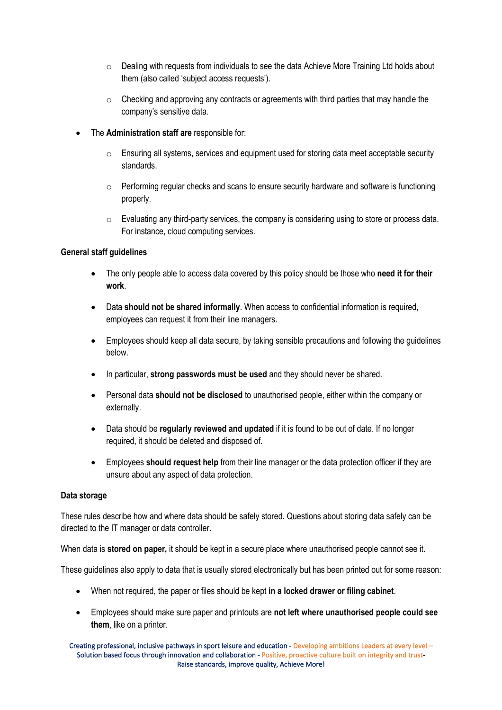- $\circ$  Dealing with requests from individuals to see the data Achieve More Training Ltd holds about them (also called 'subject access requests').
- $\circ$  Checking and approving any contracts or agreements with third parties that may handle the company's sensitive data.
- The **Administration staff are** responsible for:
	- $\circ$  Ensuring all systems, services and equipment used for storing data meet acceptable security standards.
	- $\circ$  Performing regular checks and scans to ensure security hardware and software is functioning properly.
	- $\circ$  Evaluating any third-party services, the company is considering using to store or process data. For instance, cloud computing services.

# **General staff guidelines**

- The only people able to access data covered by this policy should be those who **need it for their work**.
- Data **should not be shared informally**. When access to confidential information is required, employees can request it from their line managers.
- Employees should keep all data secure, by taking sensible precautions and following the guidelines below.
- In particular, **strong passwords must be used** and they should never be shared.
- Personal data **should not be disclosed** to unauthorised people, either within the company or externally.
- Data should be **regularly reviewed and updated** if it is found to be out of date. If no longer required, it should be deleted and disposed of.
- Employees **should request help** from their line manager or the data protection officer if they are unsure about any aspect of data protection.

# **Data storage**

These rules describe how and where data should be safely stored. Questions about storing data safely can be directed to the IT manager or data controller.

When data is **stored on paper,** it should be kept in a secure place where unauthorised people cannot see it.

These guidelines also apply to data that is usually stored electronically but has been printed out for some reason:

- When not required, the paper or files should be kept **in a locked drawer or filing cabinet**.
- Employees should make sure paper and printouts are **not left where unauthorised people could see them**, like on a printer.

Creating professional, inclusive pathways in sport leisure and education - Developing ambitions Leaders at every level – Solution based focus through innovation and collaboration - Positive, proactive culture built on integrity and trust-Raise standards, improve quality, Achieve More!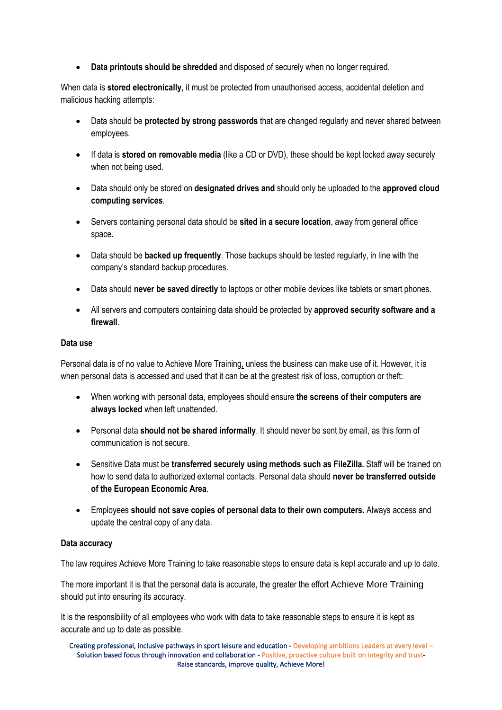• **Data printouts should be shredded** and disposed of securely when no longer required.

When data is **stored electronically**, it must be protected from unauthorised access, accidental deletion and malicious hacking attempts:

- Data should be **protected by strong passwords** that are changed regularly and never shared between employees.
- If data is **stored on removable media** (like a CD or DVD), these should be kept locked away securely when not being used.
- Data should only be stored on **designated drives and** should only be uploaded to the **approved cloud computing services**.
- Servers containing personal data should be **sited in a secure location**, away from general office space.
- Data should be **backed up frequently**. Those backups should be tested regularly, in line with the company's standard backup procedures.
- Data should **never be saved directly** to laptops or other mobile devices like tablets or smart phones.
- All servers and computers containing data should be protected by **approved security software and a firewall**.

#### **Data use**

Personal data is of no value to Achieve More Training, unless the business can make use of it. However, it is when personal data is accessed and used that it can be at the greatest risk of loss, corruption or theft:

- When working with personal data, employees should ensure **the screens of their computers are always locked** when left unattended.
- Personal data **should not be shared informally**. It should never be sent by email, as this form of communication is not secure.
- Sensitive Data must be **transferred securely using methods such as FileZilla.** Staff will be trained on how to send data to authorized external contacts. Personal data should **never be transferred outside of the European Economic Area**.
- Employees **should not save copies of personal data to their own computers.** Always access and update the central copy of any data.

# **Data accuracy**

The law requires Achieve More Training to take reasonable steps to ensure data is kept accurate and up to date.

The more important it is that the personal data is accurate, the greater the effort Achieve More Training should put into ensuring its accuracy.

It is the responsibility of all employees who work with data to take reasonable steps to ensure it is kept as accurate and up to date as possible.

Creating professional, inclusive pathways in sport leisure and education - Developing ambitions Leaders at every level – Solution based focus through innovation and collaboration - Positive, proactive culture built on integrity and trust-Raise standards, improve quality, Achieve More!